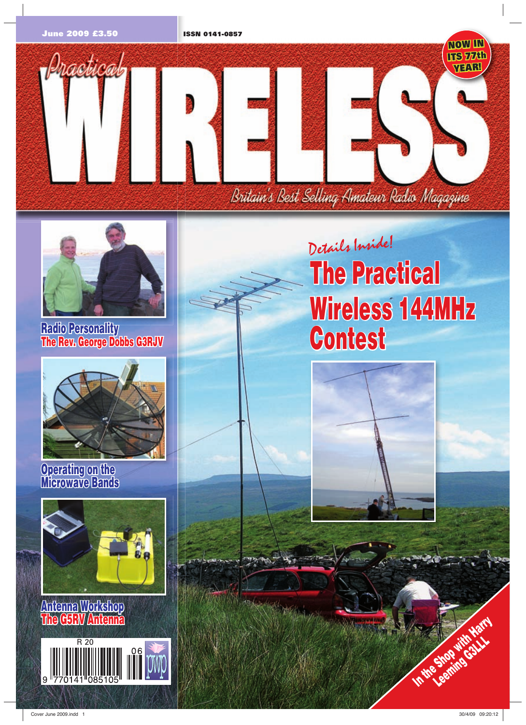





**Radio Personality The Rev. George Dobbs G3RJV**



**Operating on the on the Microwave Bands**



**Antenna Workshop The G5RV Antenna** 



# **The Practical Wireless 144MHz Contest** Details Inside!



**In the Shot**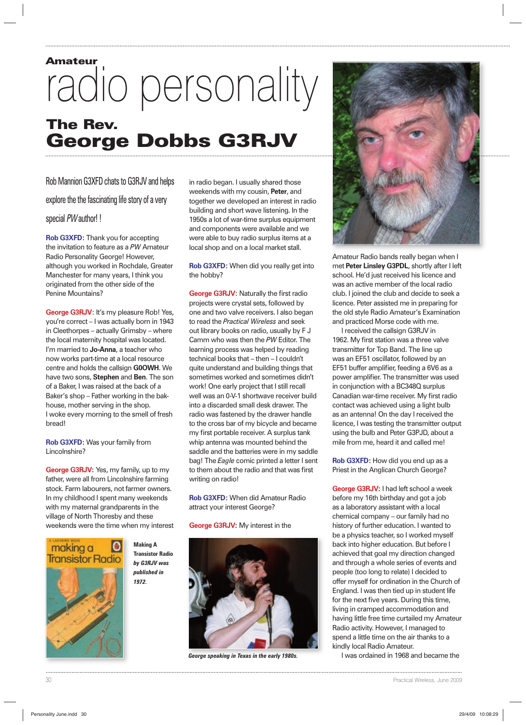## Amateur radio personality The Rev. George Dobbs G3RJV

### Rob Mannion G3XFD chats to G3RJV and helps

explore the the fascinating life story of a very

special PW author! !

**Rob G3XFD:** Thank you for accepting the invitation to feature as a *PW* Amateur Radio Personality George! However, although you worked in Rochdale, Greater Manchester for many years, I think you originated from the other side of the Penine Mountains?

**George G3RJV**: It's my pleasure Rob! Yes, you're correct – I was actually born in 1943 in Cleethorpes – actually Grimsby – where the local maternity hospital was located. I'm married to **Jo-Anna**, a teacher who now works part-time at a local resource centre and holds the callsign **G0OWH**. We have two sons, **Stephen** and **Ben**. The son of a Baker, I was raised at the back of a Baker's shop – Father working in the bakhouse, mother serving in the shop. I woke every morning to the smell of fresh bread!

**Rob G3XFD:** Was your family from Lincolnshire?

**George G3RJV:** Yes, my family, up to my father, were all from Lincolnshire farming stock. Farm labourers, not farmer owners. In my childhood I spent many weekends with my maternal grandparents in the village of North Thoresby and these weekends were the time when my interest



**Making A Transistor Radio** *by G3RJV was published in 1972.*

in radio began. I usually shared those weekends with my cousin, **Peter**, and together we developed an interest in radio building and short wave listening. In the 1950s a lot of war-time surplus equipment and components were available and we were able to buy radio surplus items at a local shop and on a local market stall.

**Rob G3XFD:** When did you really get into the hobby?

**George G3RJV:** Naturally the first radio projects were crystal sets, followed by one and two valve receivers. I also began to read the *Practical Wireless* and seek out library books on radio, usually by F J Camm who was then the *PW* Editor. The learning process was helped by reading technical books that – then – I couldn't quite understand and building things that sometimes worked and sometimes didn't work! One early project that I still recall well was an 0-V-1 shortwave receiver build into a discarded small desk drawer. The radio was fastened by the drawer handle to the cross bar of my bicycle and became my first portable receiver. A surplus tank whip antenna was mounted behind the saddle and the batteries were in my saddle bag! The *Eagle* comic printed a letter I sent to them about the radio and that was first writing on radio!

**Rob G3XFD:** When did Amateur Radio attract your interest George?

#### **George G3RJV:** My interest in the



*George speaking in Texas in the early 1980s.*



Amateur Radio bands really began when I met **Peter Linsley G3PDL**, shortly after I left school. He'd just received his licence and was an active member of the local radio club. I joined the club and decide to seek a licence. Peter assisted me in preparing for the old style Radio Amateur's Examination and practiced Morse code with me.

I received the callsign G3RJV in 1962. My first station was a three valve transmitter for Top Band. The line up was an EF51 oscillator, followed by an EF51 buffer amplifier, feeding a 6V6 as a power amplifier. The transmitter was used in conjunction with a BC348Q surplus Canadian war-time receiver. My first radio contact was achieved using a light bulb as an antenna! On the day I received the licence, I was testing the transmitter output using the bulb and Peter G3PJD, about a mile from me, heard it and called me!

**Rob G3XFD:** How did you end up as a Priest in the Anglican Church George?

**George G3RJV:** I had left school a week before my 16th birthday and got a job as a laboratory assistant with a local chemical company – our family had no history of further education. I wanted to be a physics teacher, so I worked myself back into higher education. But before I achieved that goal my direction changed and through a whole series of events and people (too long to relate) I decided to offer myself for ordination in the Church of England. I was then tied up in student life for the next five years. During this time, living in cramped accommodation and having little free time curtailed my Amateur Radio activity. However, I managed to spend a little time on the air thanks to a kindly local Radio Amateur.

I was ordained in 1968 and became the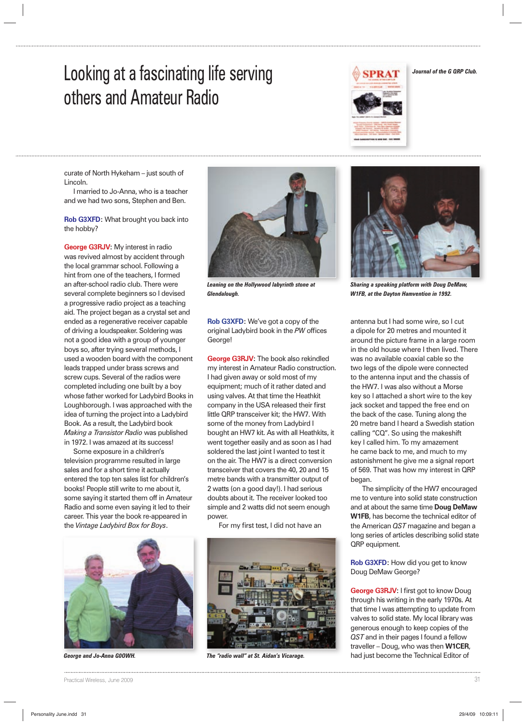### Looking at a fascinating life serving others and Amateur Radio



curate of North Hykeham – just south of Lincoln.

I married to Jo-Anna, who is a teacher and we had two sons, Stephen and Ben.

**Rob G3XFD:** What brought you back into the hobby?

**George G3RJV:** My interest in radio was revived almost by accident through the local grammar school. Following a hint from one of the teachers, I formed an after-school radio club. There were several complete beginners so I devised a progressive radio project as a teaching aid. The project began as a crystal set and ended as a regenerative receiver capable of driving a loudspeaker. Soldering was not a good idea with a group of younger boys so, after trying several methods, I used a wooden board with the component leads trapped under brass screws and screw cups. Several of the radios were completed including one built by a boy whose father worked for Ladybird Books in Loughborough. I was approached with the idea of turning the project into a Ladybird Book. As a result, the Ladybird book *Making a Transistor Radio* was published in 1972. I was amazed at its success!

Some exposure in a children's television programme resulted in large sales and for a short time it actually entered the top ten sales list for children's books! People still write to me about it, some saying it started them off in Amateur Radio and some even saying it led to their career. This year the book re-appeared in the *Vintage Ladybird Box for Boys*.





*Leaning on the Hollywood labyrinth stone at Glendalough.*

**Rob G3XFD:** We've got a copy of the original Ladybird book in the PW offices George!

**George G3RJV:** The book also rekindled my interest in Amateur Radio construction. I had given away or sold most of my equipment; much of it rather dated and using valves. At that time the Heathkit company in the USA released their first little QRP transceiver kit; the HW7. With some of the money from Ladybird I bought an HW7 kit. As with all Heathkits, it went together easily and as soon as I had soldered the last joint I wanted to test it on the air. The HW7 is a direct conversion transceiver that covers the 40, 20 and 15 metre bands with a transmitter output of 2 watts (on a good day!). I had serious doubts about it. The receiver looked too simple and 2 watts did not seem enough power.

For my first test, I did not have an



*George and Jo-Anna G0OWH. The "radio wall" at St. Aidan's Vicarage.*



*Journal of the G QRP Club.*

*Sharing a speaking platform with Doug DeMaw, W1FB, at the Dayton Hamvention in 1992.*

antenna but I had some wire, so I cut a dipole for 20 metres and mounted it around the picture frame in a large room in the old house where I then lived. There was no available coaxial cable so the two legs of the dipole were connected to the antenna input and the chassis of the HW7. I was also without a Morse key so I attached a short wire to the key jack socket and tapped the free end on the back of the case. Tuning along the 20 metre band I heard a Swedish station calling "CQ". So using the makeshift key I called him. To my amazement he came back to me, and much to my astonishment he give me a signal report of 569. That was how my interest in QRP began.

The simplicity of the HW7 encouraged me to venture into solid state construction and at about the same time **Doug DeMaw W1FB**, has become the technical editor of the American *QST* magazine and began a long series of articles describing solid state QRP equipment.

**Rob G3XFD:** How did you get to know Doug DeMaw George?

**George G3RJV:** I first got to know Doug through his writing in the early 1970s. At that time I was attempting to update from valves to solid state. My local library was generous enough to keep copies of the *QST* and in their pages I found a fellow traveller – Doug, who was then **W1CER**, had just become the Technical Editor of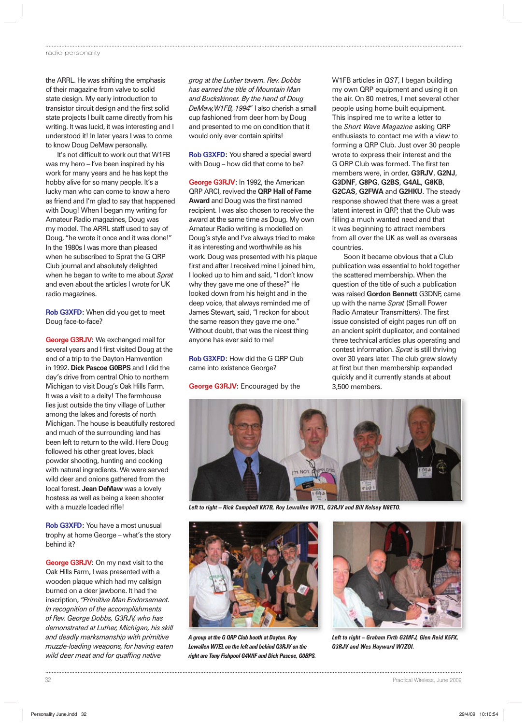the ARRL. He was shifting the emphasis of their magazine from valve to solid state design. My early introduction to transistor circuit design and the first solid state projects I built came directly from his writing. It was lucid, it was interesting and I understood it! In later years I was to come to know Doug DeMaw personally.

It's not difficult to work out that W1FB was my hero – I've been inspired by his work for many years and he has kept the hobby alive for so many people. It's a lucky man who can come to know a hero as friend and I'm glad to say that happened with Doug! When I began my writing for Amateur Radio magazines, Doug was my model. The ARRL staff used to say of Doug, "he wrote it once and it was done!" In the 1980s I was more than pleased when he subscribed to Sprat the G QRP Club journal and absolutely delighted when he began to write to me about *Sprat* and even about the articles I wrote for UK radio magazines.

**Rob G3XFD:** When did you get to meet Doug face-to-face?

**George G3RJV:** We exchanged mail for several years and I first visited Doug at the end of a trip to the Dayton Hamvention in 1992. **Dick Pascoe G0BPS** and I did the day's drive from central Ohio to northern Michigan to visit Doug's Oak Hills Farm. It was a visit to a deity! The farmhouse lies just outside the tiny village of Luther among the lakes and forests of north Michigan. The house is beautifully restored and much of the surrounding land has been left to return to the wild. Here Doug followed his other great loves, black powder shooting, hunting and cooking with natural ingredients. We were served wild deer and onions gathered from the local forest. **Jean DeMaw** was a lovely hostess as well as being a keen shooter with a muzzle loaded rifle!

**Rob G3XFD:** You have a most unusual trophy at home George – what's the story behind it?

**George G3RJV:** On my next visit to the Oak Hills Farm, I was presented with a wooden plaque which had my callsign burned on a deer jawbone. It had the inscription, *"Primitive Man Endorsement. In recognition of the accomplishments of Rev. George Dobbs, G3RJV, who has demonstrated at Luther, Michigan, his skill and deadly marksmanship with primitive muzzle-loading weapons, for having eaten*  wild deer meat and for quaffing native

*grog at the Luther tavern. Rev. Dobbs has earned the title of Mountain Man and Buckskinner. By the hand of Doug DeMaw,W1FB, 1994*" I also cherish a small cup fashioned from deer horn by Doug and presented to me on condition that it would only ever contain spirits!

**Rob G3XFD:** You shared a special award with Doug – how did that come to be?

**George G3RJV**: In 1992, the American QRP ARCI, revived the **QRP Hall of Fame Award** and Doug was the first named recipient. I was also chosen to receive the award at the same time as Doug. My own Amateur Radio writing is modelled on Doug's style and I've always tried to make it as interesting and worthwhile as his work. Doug was presented with his plaque first and after I received mine I joined him, I looked up to him and said, "I don't know why they gave me one of these?" He looked down from his height and in the deep voice, that always reminded me of James Stewart, said, "I reckon for about the same reason they gave me one." Without doubt, that was the nicest thing anyone has ever said to me!

**Rob G3XFD:** How did the G QRP Club came into existence George?

**George G3RJV:** Encouraged by the

W1FB articles in *QST*, I began building my own QRP equipment and using it on the air. On 80 metres, I met several other people using home built equipment. This inspired me to write a letter to the *Short Wave Magazine* asking QRP enthusiasts to contact me with a view to forming a QRP Club. Just over 30 people wrote to express their interest and the G QRP Club was formed. The first ten members were, in order, **G3RJV**, **G2NJ**, **G3DNF**, **G8PG**, **G2BS**, **G4AL**, **G8KB**, **G2CAS**, **G2FWA** and **G2HKU**. The steady response showed that there was a great latent interest in QRP, that the Club was filling a much wanted need and that it was beginning to attract members from all over the UK as well as overseas countries.

Soon it became obvious that a Club publication was essential to hold together the scattered membership. When the question of the title of such a publication was raised **Gordon Bennett** G3DNF, came up with the name *Sprat* (Small Power Radio Amateur Transmitters). The first issue consisted of eight pages run off on an ancient spirit duplicator, and contained three technical articles plus operating and contest information. *Sprat* is still thriving over 30 years later. The club grew slowly at first but then membership expanded quickly and it currently stands at about 3,500 members.



*Left to right – Rick Campbell KK7B, Roy Lewallen W7EL, G3RJV and Bill Kelsey N8ETO.*



*A group at the G QRP Club booth at Dayton. Roy Lewallen W7EL on the left and behind G3RJV on the right are Tony Fishpool G4WIF and Dick Pascoe, G0BPS.*



*Left to right – Graham Firth G3MFJ, Glen Reid K5FX, G3RJV and Wes Hayward W7ZOI.*